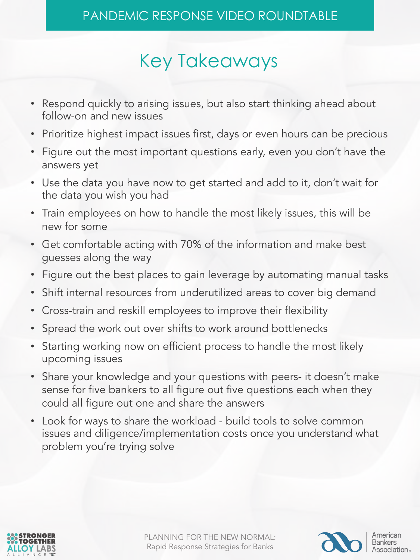# Key Takeaways

- Respond quickly to arising issues, but also start thinking ahead about follow-on and new issues
- Prioritize highest impact issues first, days or even hours can be precious
- Figure out the most important questions early, even you don't have the answers yet
- Use the data you have now to get started and add to it, don't wait for the data you wish you had
- Train employees on how to handle the most likely issues, this will be new for some
- Get comfortable acting with 70% of the information and make best guesses along the way
- Figure out the best places to gain leverage by automating manual tasks
- Shift internal resources from underutilized areas to cover big demand
- Cross-train and reskill employees to improve their flexibility
- Spread the work out over shifts to work around bottlenecks
- Starting working now on efficient process to handle the most likely upcoming issues
- Share your knowledge and your questions with peers- it doesn't make sense for five bankers to all figure out five questions each when they could all figure out one and share the answers
- Look for ways to share the workload build tools to solve common issues and diligence/implementation costs once you understand what problem you're trying solve



PLANNING FOR THE NEW NORMAL: Rapid Response Strategies for Banks



Association.